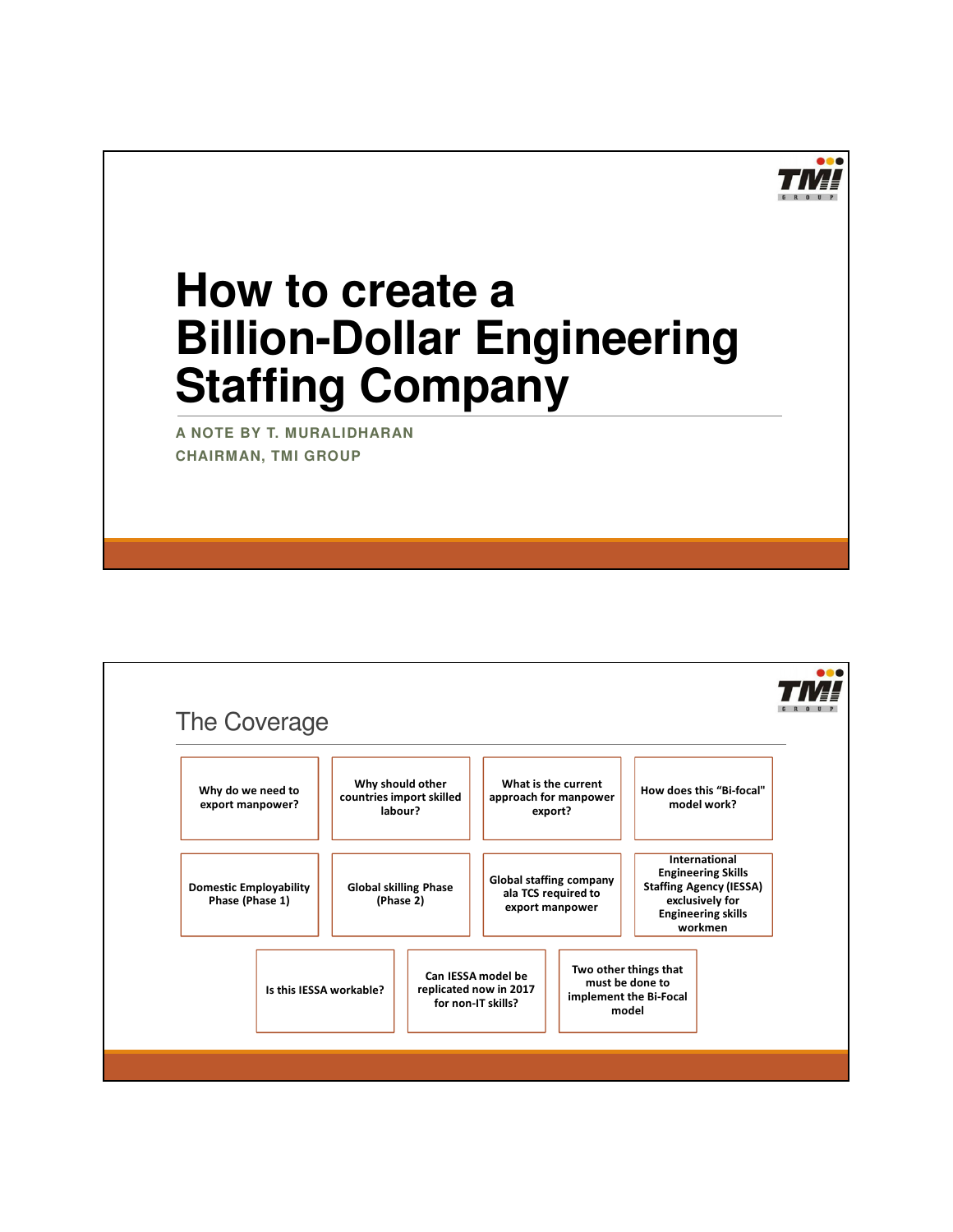

# **How to create a Billion-Dollar Engineering Staffing Company**

**A NOTE BY T. MURALIDHARAN CHAIRMAN, TMI GROUP**

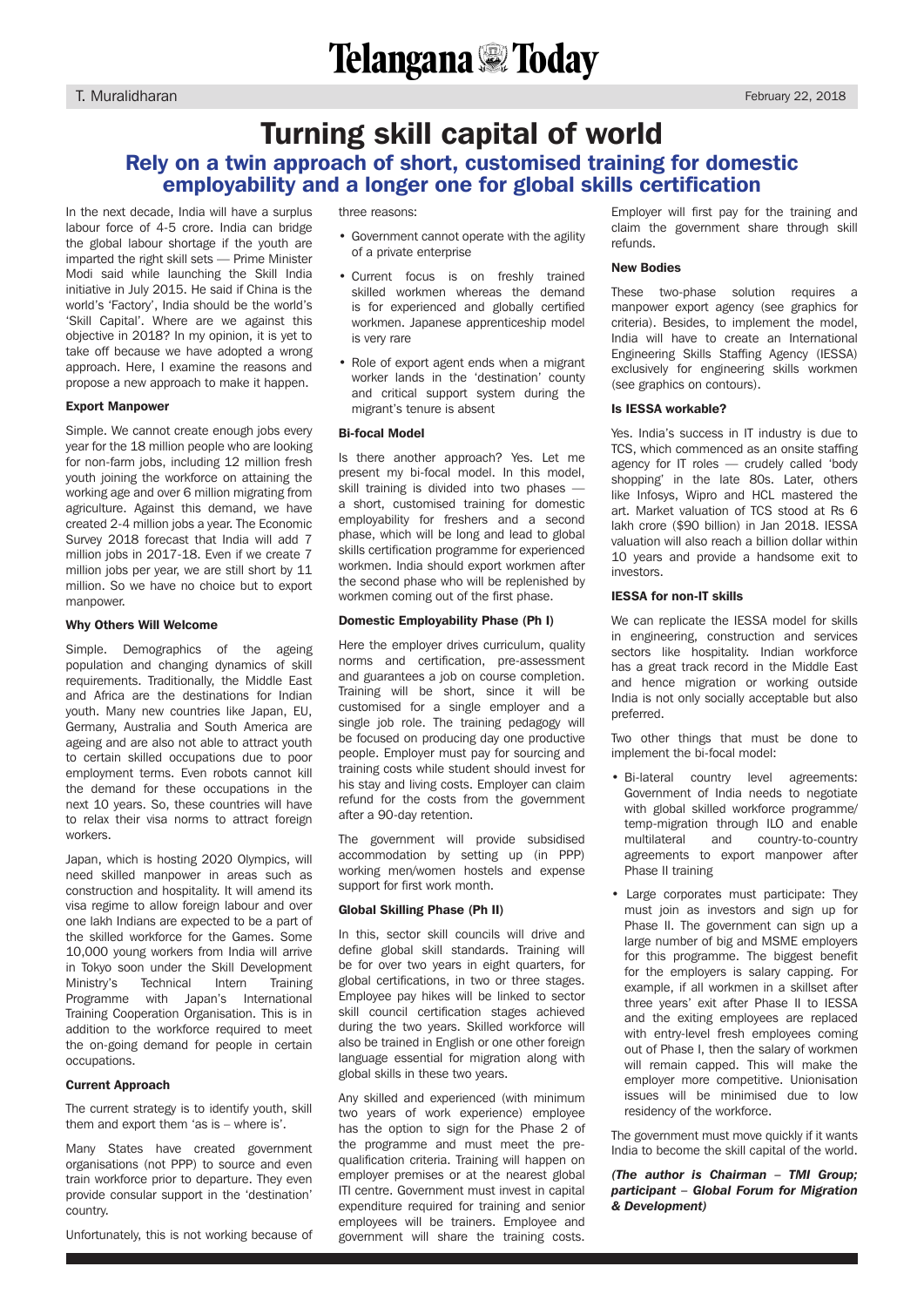### Turning skill capital of world Rely on a twin approach of short, customised training for domestic employability and a longer one for global skills certification

In the next decade, India will have a surplus labour force of 4-5 crore. India can bridge the global labour shortage if the youth are imparted the right skill sets — Prime Minister Modi said while launching the Skill India initiative in July 2015. He said if China is the world's 'Factory', India should be the world's 'Skill Capital'. Where are we against this objective in 2018? In my opinion, it is yet to take off because we have adopted a wrong approach. Here, I examine the reasons and propose a new approach to make it happen.

#### Export Manpower

Simple. We cannot create enough jobs every year for the 18 million people who are looking for non-farm jobs, including 12 million fresh youth joining the workforce on attaining the working age and over 6 million migrating from agriculture. Against this demand, we have created 2-4 million jobs a year. The Economic Survey 2018 forecast that India will add 7 million jobs in 2017-18. Even if we create 7 million jobs per year, we are still short by 11 million. So we have no choice but to export manpower.

#### Why Others Will Welcome

Simple. Demographics of the ageing population and changing dynamics of skill requirements. Traditionally, the Middle East and Africa are the destinations for Indian youth. Many new countries like Japan, EU, Germany, Australia and South America are ageing and are also not able to attract youth to certain skilled occupations due to poor employment terms. Even robots cannot kill the demand for these occupations in the next 10 years. So, these countries will have to relax their visa norms to attract foreign workers.

Japan, which is hosting 2020 Olympics, will need skilled manpower in areas such as construction and hospitality. It will amend its visa regime to allow foreign labour and over one lakh Indians are expected to be a part of the skilled workforce for the Games. Some 10,000 young workers from India will arrive in Tokyo soon under the Skill Development Ministry's Technical Intern Training Programme with Japan's International Training Cooperation Organisation. This is in addition to the workforce required to meet the on-going demand for people in certain occupations.

#### Current Approach

The current strategy is to identify youth, skill them and export them 'as is – where is'.

Many States have created government organisations (not PPP) to source and even train workforce prior to departure. They even provide consular support in the 'destination' country.

Unfortunately, this is not working because of

three reasons:

- Government cannot operate with the agility of a private enterprise
- Current focus is on freshly trained skilled workmen whereas the demand is for experienced and globally certified workmen. Japanese apprenticeship model is very rare
- Role of export agent ends when a migrant worker lands in the 'destination' county and critical support system during the migrant's tenure is absent

#### Bi-focal Model

Is there another approach? Yes. Let me present my bi-focal model. In this model, skill training is divided into two phases a short, customised training for domestic employability for freshers and a second phase, which will be long and lead to global skills certification programme for experienced workmen. India should export workmen after the second phase who will be replenished by workmen coming out of the first phase.

#### Domestic Employability Phase (Ph I)

Here the employer drives curriculum, quality norms and certification, pre-assessment and guarantees a job on course completion. Training will be short, since it will be customised for a single employer and a single job role. The training pedagogy will be focused on producing day one productive people. Employer must pay for sourcing and training costs while student should invest for his stay and living costs. Employer can claim refund for the costs from the government after a 90-day retention.

The government will provide subsidised accommodation by setting up (in PPP) working men/women hostels and expense support for first work month.

#### Global Skilling Phase (Ph II)

In this, sector skill councils will drive and define global skill standards. Training will be for over two years in eight quarters, for global certifications, in two or three stages. Employee pay hikes will be linked to sector skill council certification stages achieved during the two years. Skilled workforce will also be trained in English or one other foreign language essential for migration along with global skills in these two years.

Any skilled and experienced (with minimum two years of work experience) employee has the option to sign for the Phase 2 of the programme and must meet the prequalification criteria. Training will happen on employer premises or at the nearest global ITI centre. Government must invest in capital expenditure required for training and senior employees will be trainers. Employee and government will share the training costs.

Employer will first pay for the training and claim the government share through skill refunds.

#### New Bodies

These two-phase solution requires a manpower export agency (see graphics for criteria). Besides, to implement the model, India will have to create an International Engineering Skills Staffing Agency (IESSA) exclusively for engineering skills workmen (see graphics on contours).

#### Is IESSA workable?

Yes. India's success in IT industry is due to TCS, which commenced as an onsite staffing agency for IT roles — crudely called 'body shopping' in the late 80s. Later, others like Infosys, Wipro and HCL mastered the art. Market valuation of TCS stood at Rs 6 lakh crore (\$90 billion) in Jan 2018. IESSA valuation will also reach a billion dollar within 10 years and provide a handsome exit to investors.

#### IESSA for non-IT skills

We can replicate the IFSSA model for skills in engineering, construction and services sectors like hospitality. Indian workforce has a great track record in the Middle East and hence migration or working outside India is not only socially acceptable but also preferred.

Two other things that must be done to implement the bi-focal model:

- Bi-lateral country level agreements: Government of India needs to negotiate with global skilled workforce programme/ temp-migration through ILO and enable multilateral and country-to-country agreements to export manpower after Phase II training
- Large corporates must participate: They must join as investors and sign up for Phase II. The government can sign up a large number of big and MSME employers for this programme. The biggest benefit for the employers is salary capping. For example, if all workmen in a skillset after three years' exit after Phase II to IESSA and the exiting employees are replaced with entry-level fresh employees coming out of Phase I, then the salary of workmen will remain capped. This will make the employer more competitive. Unionisation issues will be minimised due to low residency of the workforce.

The government must move quickly if it wants India to become the skill capital of the world.

*(The author is Chairman – TMI Group; participant – Global Forum for Migration & Development)*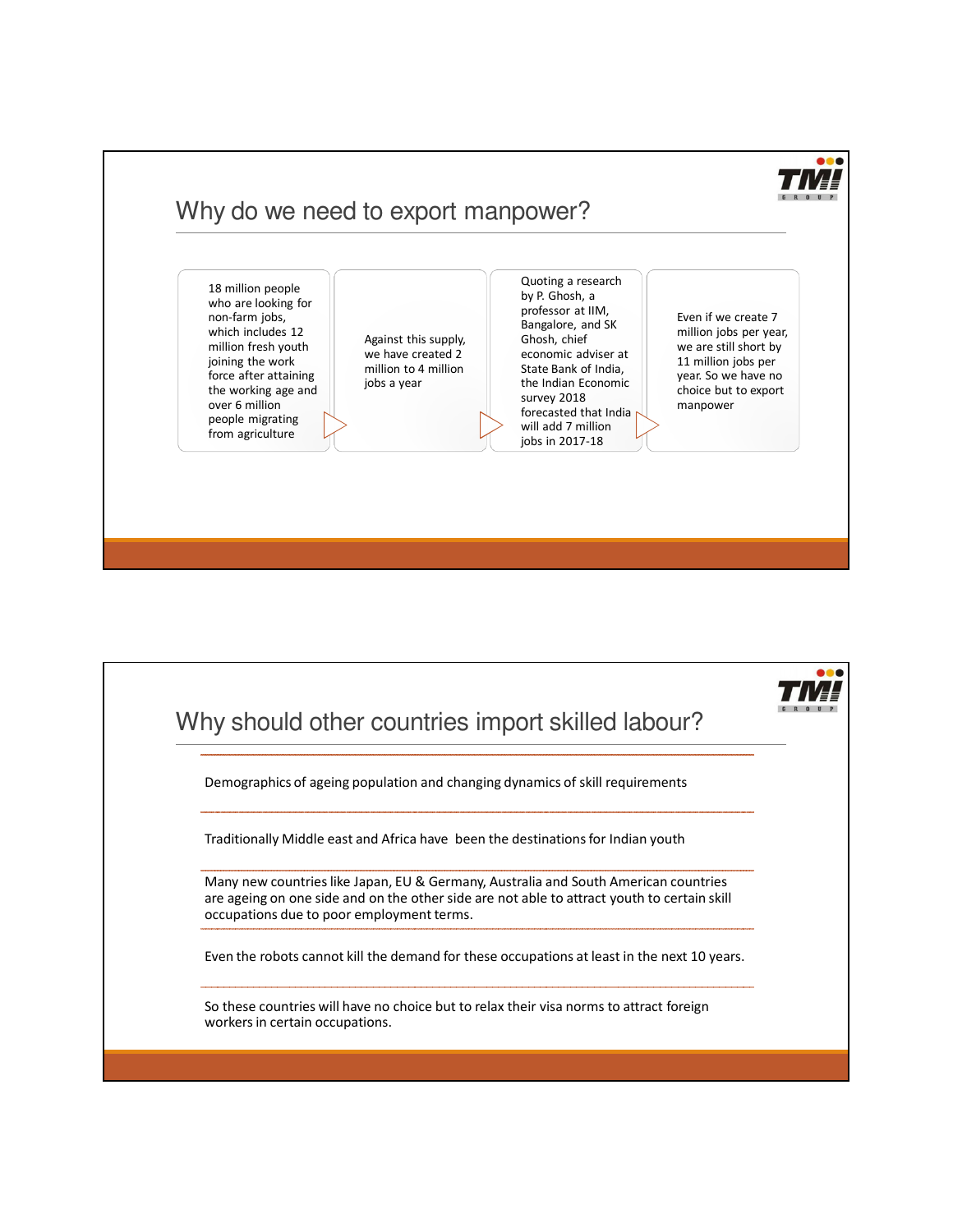

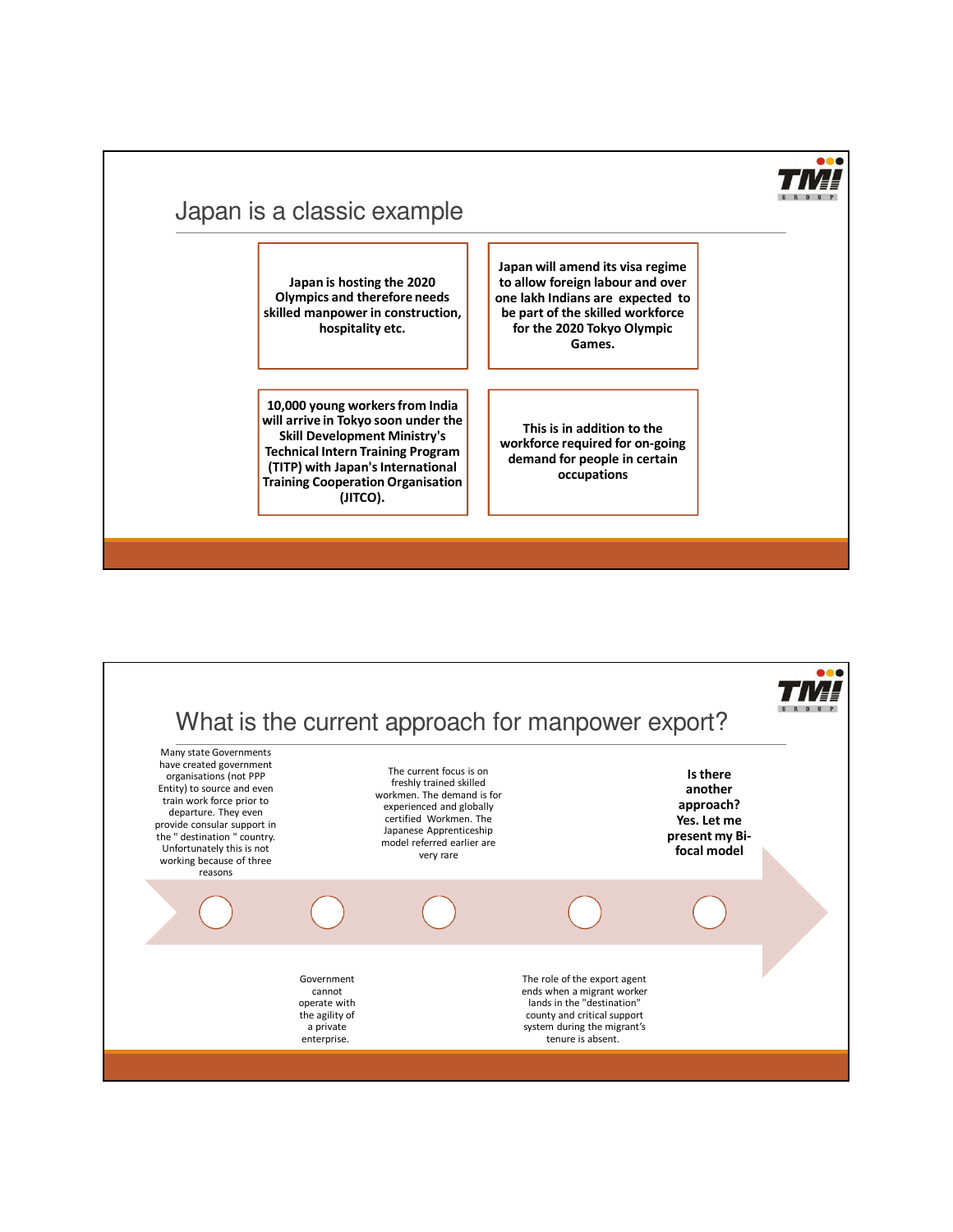

# Japan is a classic example

**Japan is hosting the 2020 Olympics and therefore needs skilled manpower in construction, hospitality etc.** 

**10,000 young workers from India will arrive in Tokyo soon under the Skill Development Ministry's Technical Intern Training Program (TITP) with Japan's International Training Cooperation Organisation (JITCO).**

**Japan will amend its visa regime to allow foreign labour and over one lakh Indians are expected to be part of the skilled workforce for the 2020 Tokyo Olympic Games.** 

**This is in addition to the workforce required for on-going demand for people in certain occupations**

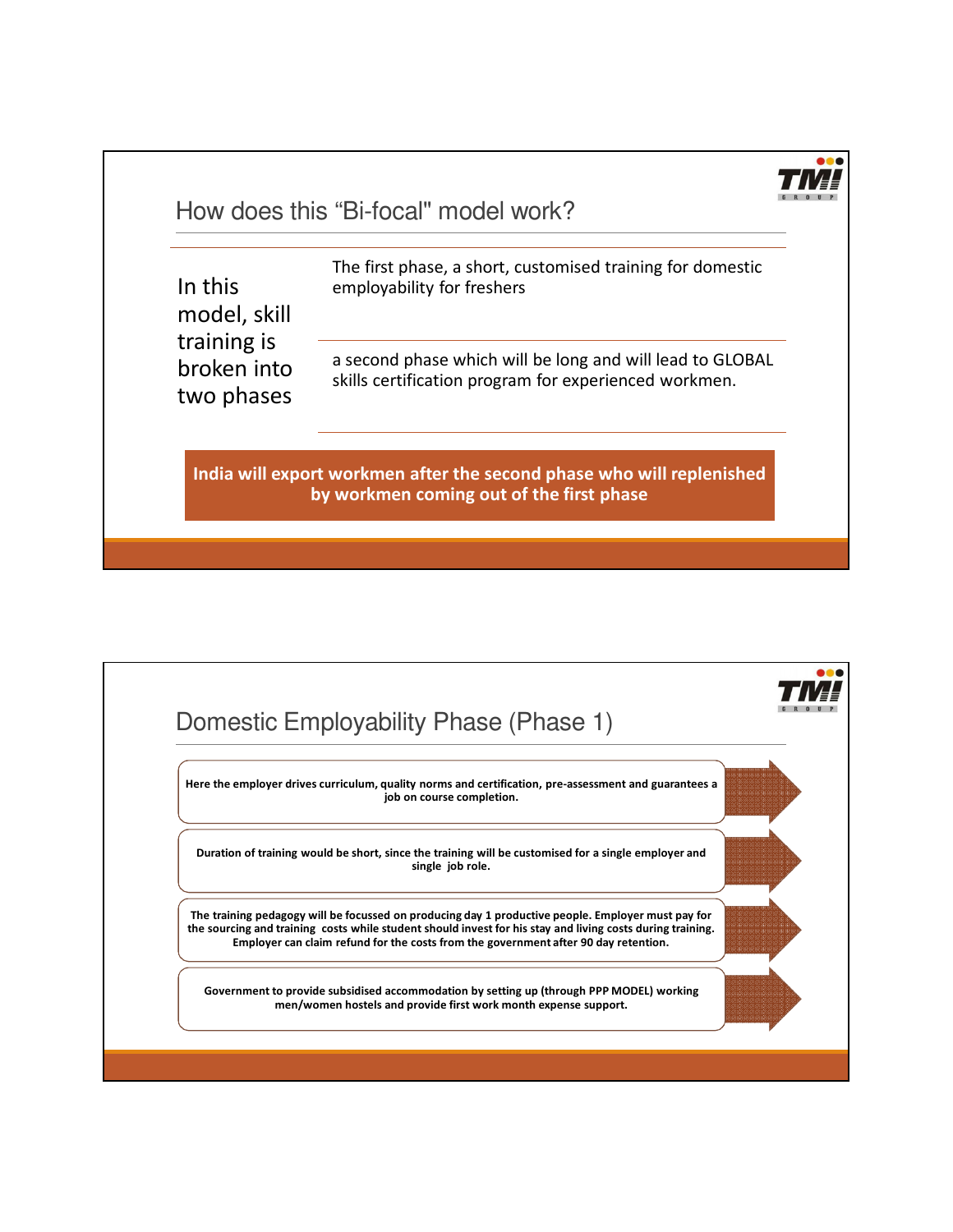

How does this "Bi-focal" model work?

| In this      |
|--------------|
| model, skill |
| training is  |
| broken into  |
| two phases   |

The first phase, a short, customised training for domestic employability for freshers

a second phase which will be long and will lead to GLOBAL skills certification program for experienced workmen.

**India will export workmen after the second phase who will replenished by workmen coming out of the first phase**

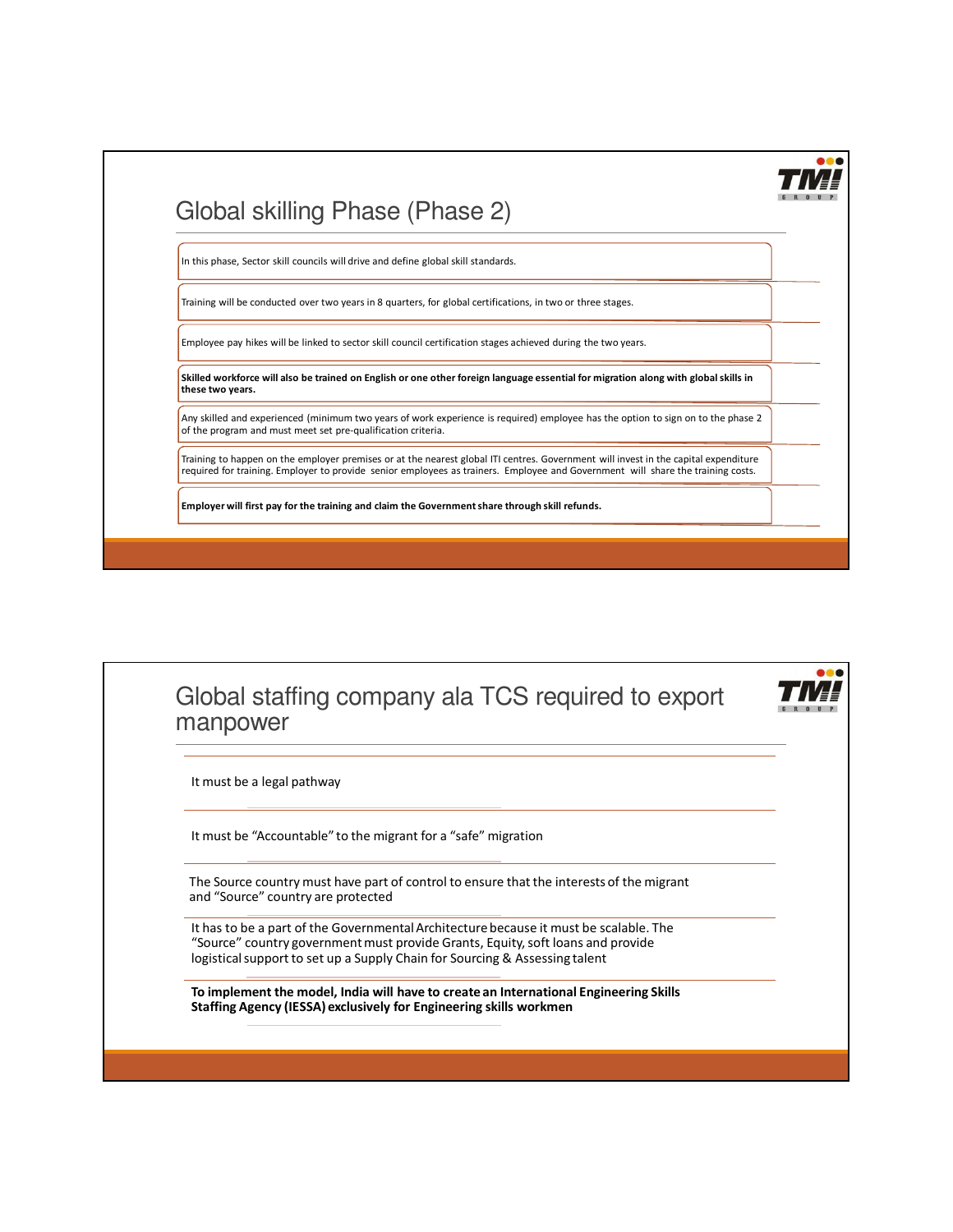

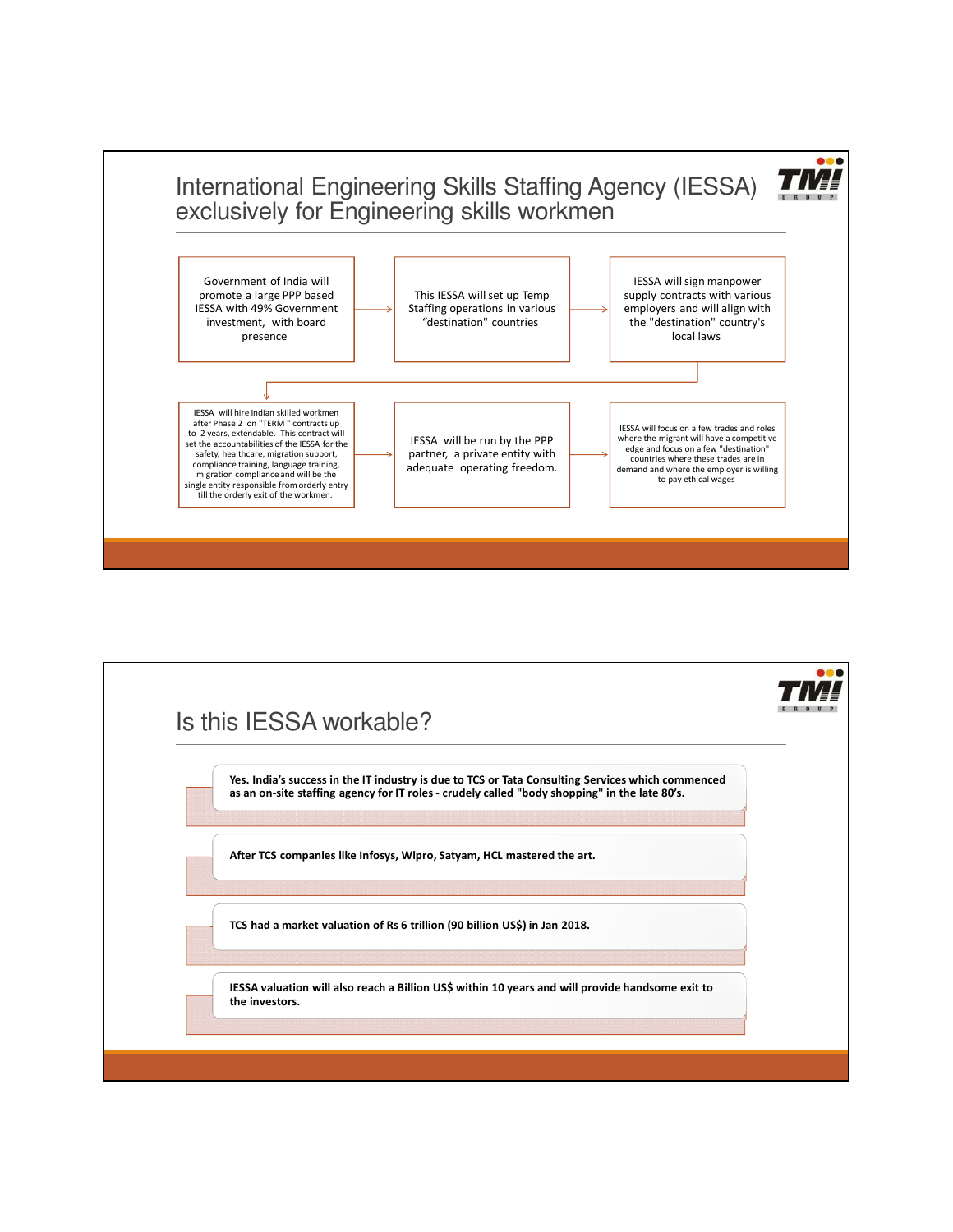

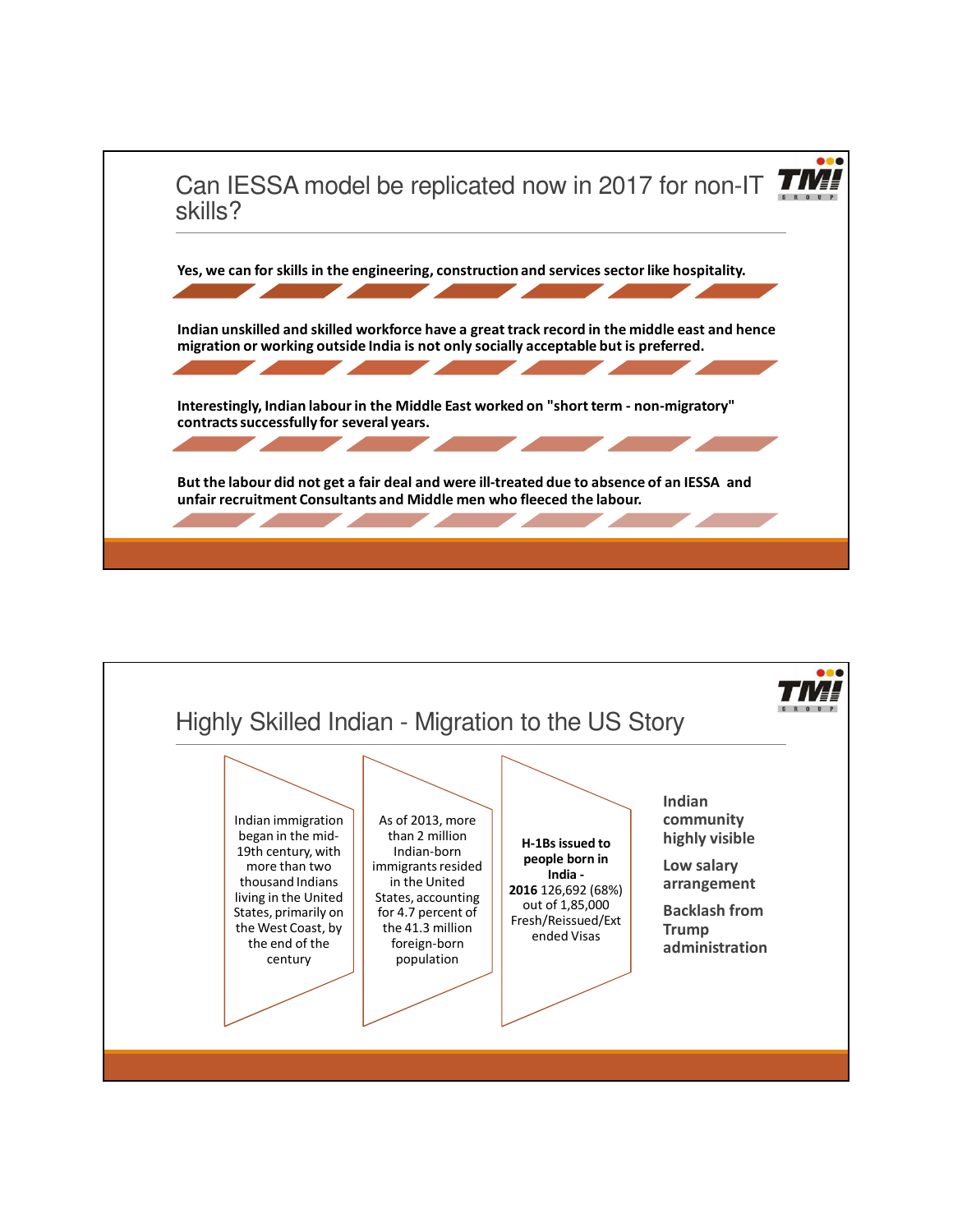

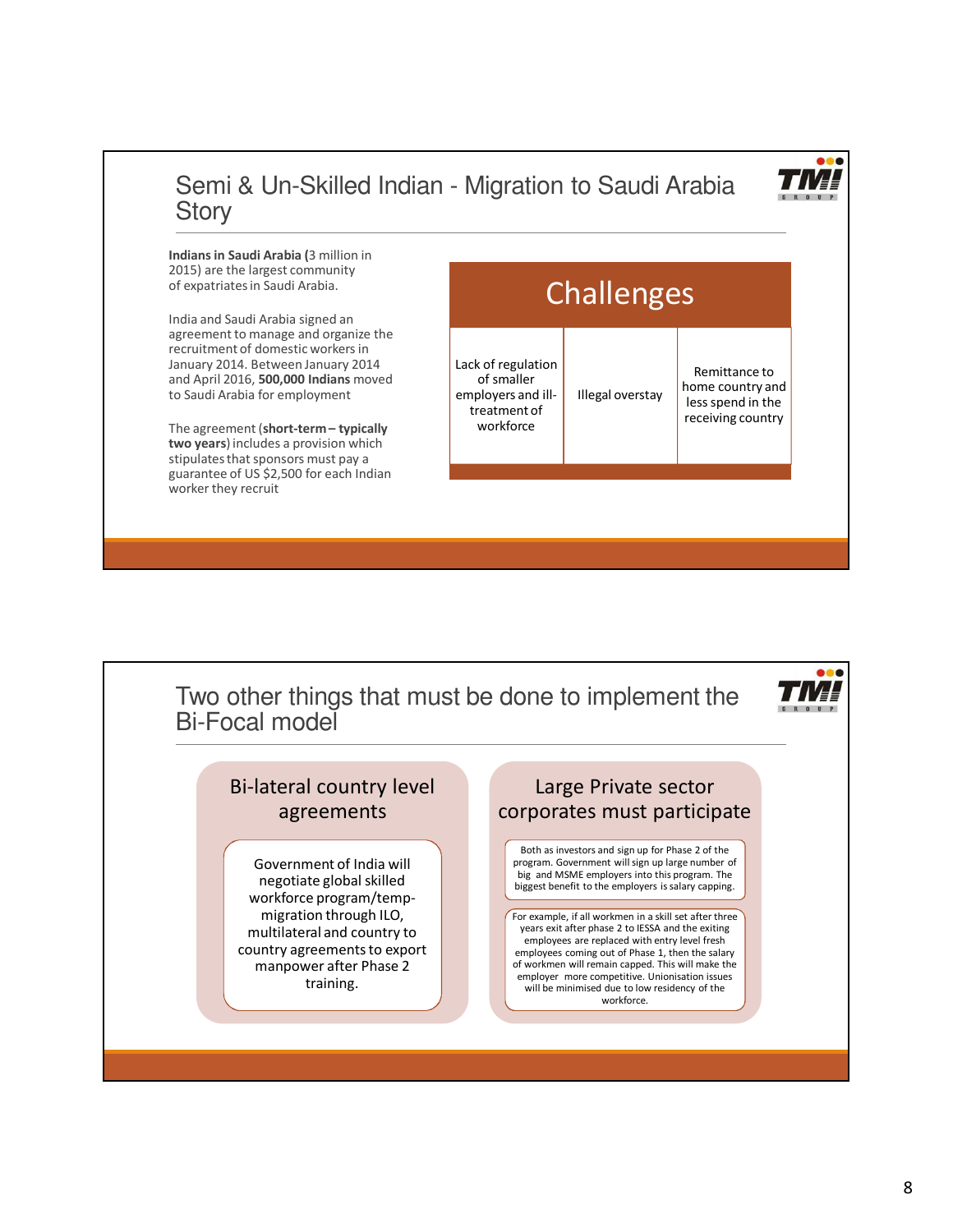# Semi & Un-Skilled Indian - Migration to Saudi Arabia **Story**

**Indians in Saudi Arabia (**3 million in 2015) are the largest community of expatriates in Saudi Arabia.

India and Saudi Arabia signed an agreement to manage and organize the recruitment of domestic workers in January 2014. Between January 2014 and April 2016, **500,000 Indians** moved to Saudi Arabia for employment

The agreement (**short-term – typically two years**) includes a provision which stipulates that sponsors must pay a guarantee of US \$2,500 for each Indian worker they recruit



Two other things that must be done to implement the Bi-Focal model



## Bi-lateral country level agreements

Government of India will negotiate global skilled workforce program/tempmigration through ILO, multilateral and country to country agreements to export manpower after Phase 2 training.

### Large Private sector corporates must participate

Both as investors and sign up for Phase 2 of the program. Government will sign up large number of big and MSME employers into this program. The biggest benefit to the employers is salary capping.

For example, if all workmen in a skill set after three years exit after phase 2 to IESSA and the exiting employees are replaced with entry level fresh employees coming out of Phase 1, then the salary of workmen will remain capped. This will make the employer more competitive. Unionisation issues will be minimised due to low residency of the workforce.